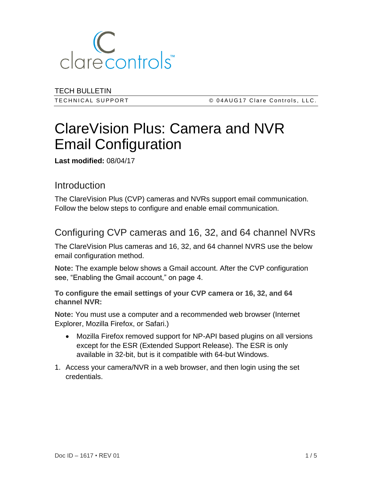

TECH BULLETIN

TECHNICAL SUPPORT **COMENT COMPUTE CONTACT CLASS CONTINGLY** CLATE CONTROLS, LLC.

# ClareVision Plus: Camera and NVR Email Configuration

**Last modified:** 08/04/17

## Introduction

The ClareVision Plus (CVP) cameras and NVRs support email communication. Follow the below steps to configure and enable email communication.

## Configuring CVP cameras and 16, 32, and 64 channel NVRs

The ClareVision Plus cameras and 16, 32, and 64 channel NVRS use the below email configuration method.

**Note:** The example below shows a Gmail account. After the CVP configuration see, "Enabling the Gmail account," on page [4.](#page-3-0)

**To configure the email settings of your CVP camera or 16, 32, and 64 channel NVR:** 

**Note:** You must use a computer and a recommended web browser (Internet Explorer, Mozilla Firefox, or Safari.)

- Mozilla Firefox removed support for NP-API based plugins on all versions except for the ESR (Extended Support Release). The ESR is only available in 32-bit, but is it compatible with 64-but Windows.
- 1. Access your camera/NVR in a web browser, and then login using the set credentials.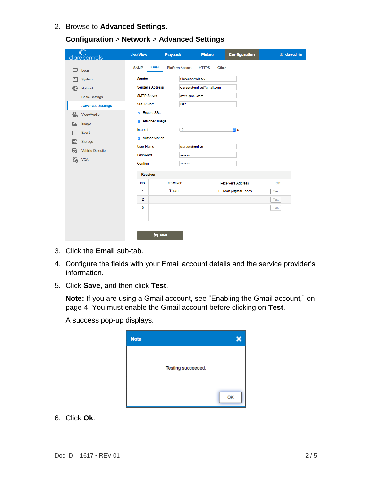2. Browse to **Advanced Settings**.

|                          | clarecontrols            | <b>Live View</b>            | Playback               | Picture                   | <b>Configuration</b>   | <b>1</b> clareadmin |  |
|--------------------------|--------------------------|-----------------------------|------------------------|---------------------------|------------------------|---------------------|--|
| ₽                        | Local                    | <b>Email</b><br><b>SNMP</b> | <b>Platform Access</b> | <b>HTTPS</b>              | Other                  |                     |  |
|                          | System                   | Sender                      |                        | <b>ClareControls NVR</b>  |                        |                     |  |
| 63                       | Network                  | Sender's Address            |                        | claresystemfive@gmail.com |                        |                     |  |
|                          | <b>Basic Settings</b>    | <b>SMTP Server</b>          |                        | smtp.gmail.com            |                        |                     |  |
|                          | <b>Advanced Settings</b> | <b>SMTP Port</b>            | 587                    |                           |                        |                     |  |
| $\mathcal{Q}_\mathbf{0}$ | Video/Audio              | <b>Z</b> Enable SSL         |                        |                           |                        |                     |  |
| $^{\circ}$ $^{\circ}$    | Image                    | Attached Image              |                        |                           |                        |                     |  |
| 眉                        | Event                    | Interval                    | $\overline{2}$         |                           | $\overline{\bullet}$ s |                     |  |
| E                        | Storage                  | Authentication              |                        |                           |                        |                     |  |
| 룹                        | <b>Vehicle Detection</b> | <b>User Name</b>            |                        | claresystemfive<br>       |                        |                     |  |
| ငြ                       | <b>VCA</b>               | Password                    |                        |                           |                        |                     |  |
|                          |                          |                             | Confirm<br>            |                           |                        |                     |  |
|                          |                          | <b>Receiver</b>             |                        |                           |                        |                     |  |
| No.                      |                          | Receiver                    |                        | <b>Receiver's Address</b> | <b>Test</b>            |                     |  |
|                          |                          | 1                           | Tivan                  |                           | T.Tivan@gmail.com      | Test                |  |
|                          |                          | $\overline{2}$              |                        |                           |                        | <b>Test</b>         |  |
|                          |                          | 3                           |                        |                           |                        | <b>Test</b>         |  |
|                          |                          |                             |                        |                           |                        |                     |  |
|                          |                          |                             |                        |                           |                        |                     |  |
|                          |                          | <b>B</b> Save               |                        |                           |                        |                     |  |

**Configuration** > **Network** > **Advanced Settings**

- 3. Click the **Email** sub-tab.
- 4. Configure the fields with your Email account details and the service provider's information.
- 5. Click **Save**, and then click **Test**.

**Note:** If you are using a Gmail account, see "Enabling the Gmail account," on page [4.](#page-3-0) You must enable the Gmail account before clicking on **Test**.

A success pop-up displays.



6. Click **Ok**.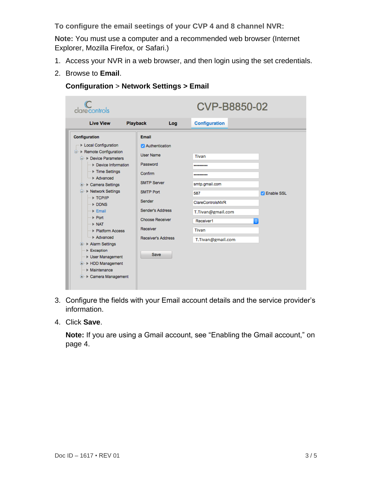**To configure the email seetings of your CVP 4 and 8 channel NVR:** 

**Note:** You must use a computer and a recommended web browser (Internet Explorer, Mozilla Firefox, or Safari.)

- 1. Access your NVR in a web browser, and then login using the set credentials.
- 2. Browse to **Email**.

#### **Configuration** > **Network Settings > Email**

| clarecontrols                                                                                                                                                                                                                                                                                                                                                                                                                                                                                                                                                                                                    |                                                                                                                                                                                                                       | <b>CVP-B8850-02</b>                                                                                                        |                   |  |
|------------------------------------------------------------------------------------------------------------------------------------------------------------------------------------------------------------------------------------------------------------------------------------------------------------------------------------------------------------------------------------------------------------------------------------------------------------------------------------------------------------------------------------------------------------------------------------------------------------------|-----------------------------------------------------------------------------------------------------------------------------------------------------------------------------------------------------------------------|----------------------------------------------------------------------------------------------------------------------------|-------------------|--|
| <b>Live View</b><br><b>Playback</b>                                                                                                                                                                                                                                                                                                                                                                                                                                                                                                                                                                              | Log                                                                                                                                                                                                                   | <b>Configuration</b>                                                                                                       |                   |  |
| Configuration<br>▶ Local Configuration<br><b>E</b> . ▶ Remote Configuration<br><b>E</b> . ▶ Device Parameters<br>Device Information<br><sup>---</sup> > Time Settings<br>Advanced<br><b>E</b> De Camera Settings<br><b>E</b> Network Settings<br>$\rightarrow$ TCP/IP<br>$\blacksquare$ $\blacktriangleright$ DDNS<br>$\rightarrow$ Email<br>$\blacksquare$ Port<br>$\rightarrow$ NAT<br><b>Exercise Platform Access</b><br>Advanced<br><b>E</b> Rlarm Settings<br>$\blacktriangleright$ Exception<br><b>Diser Management</b><br><b>E</b> ▶ HDD Management<br><b>Maintenance</b><br><b>E</b> E Camera Management | Email<br>Authentication<br><b>User Name</b><br>Password<br>Confirm<br><b>SMTP Server</b><br><b>SMTP Port</b><br>Sender<br>Sender's Address<br><b>Choose Receiver</b><br>Receiver<br><b>Receiver's Address</b><br>Save | Tivan<br><br><br>smtp.gmail.com<br>587<br>ClareControlsNVR<br>T.Tivan@gmail.com<br>Receiver1<br>Tivan<br>T.Tivan@gmail.com | <b>Enable SSL</b> |  |

- 3. Configure the fields with your Email account details and the service provider's information.
- 4. Click **Save**.

**Note:** If you are using a Gmail account, see "Enabling the Gmail account," on page [4.](#page-3-0)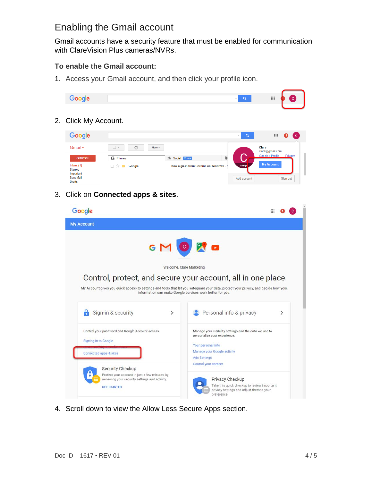## <span id="page-3-0"></span>Enabling the Gmail account

Gmail accounts have a security feature that must be enabled for communication with ClareVision Plus cameras/NVRs.

#### **To enable the Gmail account:**

1. Access your Gmail account, and then click your profile icon.



2. Click My Account.

| Google                                                                       |                                           |                                        | ΙQ<br>$\overline{\phantom{a}}$ | 排<br>$\mathbf{C}$             |
|------------------------------------------------------------------------------|-------------------------------------------|----------------------------------------|--------------------------------|-------------------------------|
| Gmail $\star$                                                                | C<br>$\overline{\phantom{a}}$<br>$More =$ |                                        |                                | Clare<br>clare@gmail.com      |
| <b>COMPOSE</b>                                                               | $\Box$ Primary                            | Q<br><sup>2</sup> Social 21 new        |                                | Google+ Profile - Privacy     |
| lnbox(1)<br><b>Starred</b><br>Important<br><b>Sent Mail</b><br><b>Drafts</b> | Google<br>口立口<br>$\sim$                   | New sign-in from Chrome on Windows - N | Change<br>Add account          | <b>My Account</b><br>Sign out |

3. Click on **Connected apps & sites**.

| Google                                                                                                                                                                                                                                                          |                                                                                                                                                                    |  |  |  |
|-----------------------------------------------------------------------------------------------------------------------------------------------------------------------------------------------------------------------------------------------------------------|--------------------------------------------------------------------------------------------------------------------------------------------------------------------|--|--|--|
| <b>My Account</b>                                                                                                                                                                                                                                               |                                                                                                                                                                    |  |  |  |
| GMOX<br>Welcome, Clare Marketing                                                                                                                                                                                                                                |                                                                                                                                                                    |  |  |  |
| Control, protect, and secure your account, all in one place<br>My Account gives you quick access to settings and tools that let you safeguard your data, protect your privacy, and decide how your<br>information can make Google services work better for you. |                                                                                                                                                                    |  |  |  |
| Sign-in & security<br>⋋                                                                                                                                                                                                                                         | Personal info & privacy<br>⋋                                                                                                                                       |  |  |  |
| Control your password and Google Account access.<br>Signing in to Google<br>Connected apps & sites                                                                                                                                                              | Manage your visibility settings and the data we use to<br>personalize your experience.<br>Your personal info<br>Manage your Google activity<br><b>Ads Settings</b> |  |  |  |
| Security Checkup<br>Protect your account in just a few minutes by<br>reviewing your security settings and activity.<br><b>GET STARTED</b>                                                                                                                       | Control your content<br><b>Privacy Checkup</b><br>Take this quick checkup to review important<br>privacy settings and adjust them to your<br>preference.           |  |  |  |

4. Scroll down to view the Allow Less Secure Apps section.